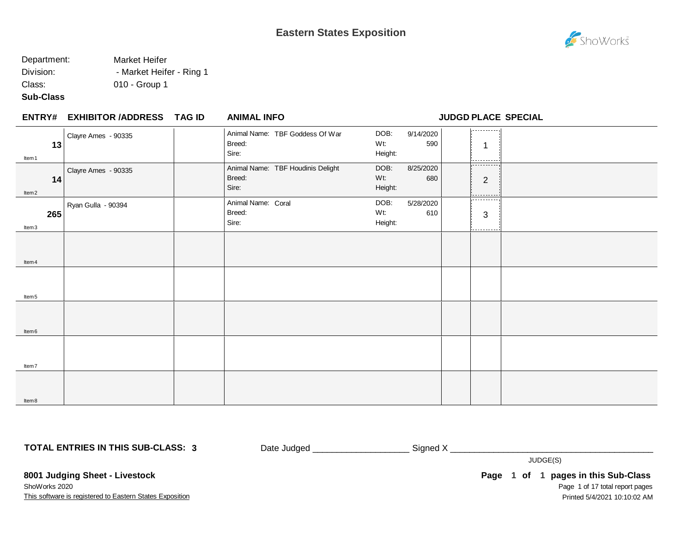### **Eastern States Exposition**

# ShoWorks

### Department: Market Heifer Division: **- Market Heifer - Ring 1**

Class: 010 - Group 1

**Sub-Class**

#### **EXHIBITOR /ADDRESS TAG ID ENTRY# ANIMAL INFO JUDGD PLACE SPECIAL**

| 13<br>Item 1            | Clayre Ames - 90335 | Animal Name: TBF Goddess Of War<br>Breed:<br>Sire:   | 9/14/2020<br>DOB:<br>Wt:<br>590<br>Height: | ومسمسم مستحمل<br>1<br>-------      |
|-------------------------|---------------------|------------------------------------------------------|--------------------------------------------|------------------------------------|
| 14<br>ltem <sub>2</sub> | Clayre Ames - 90335 | Animal Name: TBF Houdinis Delight<br>Breed:<br>Sire: | 8/25/2020<br>DOB:<br>Wt:<br>680<br>Height: | -----------<br>$\overline{2}$<br>. |
| 265<br>Item3            | Ryan Gulla - 90394  | Animal Name: Coral<br>Breed:<br>Sire:                | DOB:<br>5/28/2020<br>Wt:<br>610<br>Height: | -----------<br>3<br>----------     |
| ltem 4                  |                     |                                                      |                                            |                                    |
| Item <sub>5</sub>       |                     |                                                      |                                            |                                    |
| ltem <sub>6</sub>       |                     |                                                      |                                            |                                    |
| Item7                   |                     |                                                      |                                            |                                    |
| ltem 8                  |                     |                                                      |                                            |                                    |

**TOTAL ENTRIES IN THIS SUB-CLASS: 3**

Date Judged \_\_\_\_\_\_\_\_\_\_\_\_\_\_\_\_\_\_\_\_ Signed X \_\_\_\_\_\_\_\_\_\_\_\_\_\_\_\_\_\_\_\_\_\_\_\_\_\_\_\_\_\_\_\_\_\_\_\_\_\_\_\_\_\_

JUDGE(S)

This software is registered to Eastern States Exposition **8001 Judging Sheet - Livestock** ShoWorks 2020

Page 1 of 17 total report pages **Page 1 of 1 pages in this Sub-Class** Printed 5/4/2021 10:10:02 AM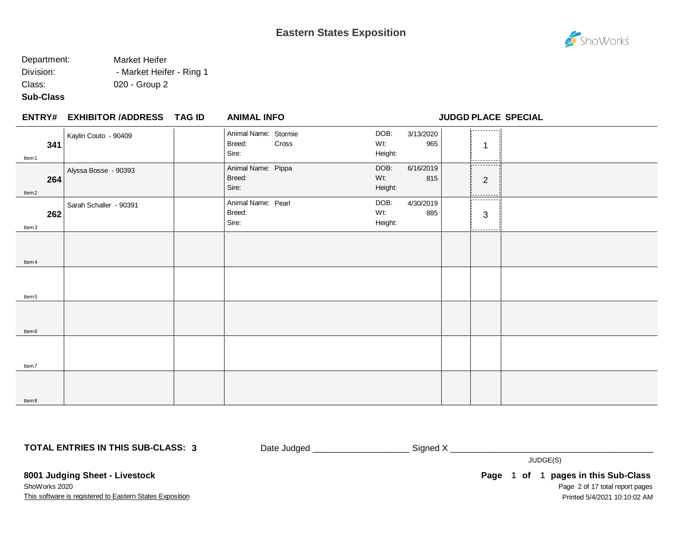**ENTRY# ANIMAL INFO JUDGD PLACE SPECIAL**

#### Department: Market Heifer Division: **- Market Heifer - Ring 1** Class: 020 - Group 2

#### **Sub-Class**

| ENTRY# EXHIBITOR /ADDRESS TAG ID | <b>ANIMAL INFO</b> |
|----------------------------------|--------------------|
|                                  |                    |

. . . . . . . . . . . Kaylin Couto - 90409 **Animal Name: Stormie**<br>Breed: Cross DOB: 3/13/2020 Breed: Wt: 965 **341** 1 Sire: Height: Item1 Alyssa Bosse - 90393 **Animal Name:** Pippa DOB: 6/16/2019 Breed: Wt: 815 **264** 2 Sire: Height: Item2 \_\_\_\_\_\_\_\_ Sarah Schaller - 90391 Animal Name: Pearl DOB: 4/30/2019 Breed: Wt: 885 **262** 3 Sire: Height: Item3 Item4 Item5 Item6 Item7 Item8

**TOTAL ENTRIES IN THIS SUB-CLASS: 3**

Date Judged \_\_\_\_\_\_\_\_\_\_\_\_\_\_\_\_\_\_\_\_\_\_\_\_\_\_\_\_\_Signed X

JUDGE(S)

This software is registered to Eastern States Exposition **8001 Judging Sheet - Livestock** ShoWorks 2020

Page 2 of 17 total report pages **Page 1 of 1 pages in this Sub-Class** Printed 5/4/2021 10:10:02 AM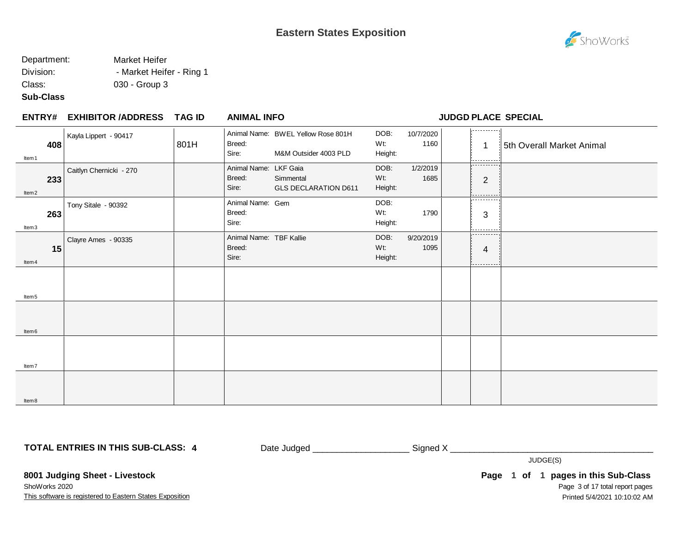### Department: Market Heifer Division: **- Market Heifer - Ring 1**

Class: 030 - Group 3

#### **Sub-Class**

### **EXHIBITOR /ADDRESS TAG ID ENTRY# ANIMAL INFO JUDGD PLACE SPECIAL**

| 408<br>Item 1            | Kayla Lippert - 90417   | 801H | Breed:<br>Sire:                            | Animal Name: BWEL Yellow Rose 801H<br>M&M Outsider 4003 PLD | DOB:<br>Wt:<br>Height: | 10/7/2020<br>1160 | .<br>$\mathbf 1$<br>---------                                                                                                                                                                                                                                                                                                                                                                                       | 5th Overall Market Animal |
|--------------------------|-------------------------|------|--------------------------------------------|-------------------------------------------------------------|------------------------|-------------------|---------------------------------------------------------------------------------------------------------------------------------------------------------------------------------------------------------------------------------------------------------------------------------------------------------------------------------------------------------------------------------------------------------------------|---------------------------|
| 233<br>ltem <sub>2</sub> | Caitlyn Chernicki - 270 |      | Animal Name: LKF Gaia<br>Breed:<br>Sire:   | Simmental<br><b>GLS DECLARATION D611</b>                    | DOB:<br>Wt:<br>Height: | 1/2/2019<br>1685  | ---------<br>$\overline{2}$<br>.                                                                                                                                                                                                                                                                                                                                                                                    |                           |
| 263<br>Item3             | Tony Sitale - 90392     |      | Animal Name: Gem<br>Breed:<br>Sire:        |                                                             | DOB:<br>Wt:<br>Height: | 1790              | .<br>3                                                                                                                                                                                                                                                                                                                                                                                                              |                           |
| 15<br>Item 4             | Clayre Ames - 90335     |      | Animal Name: TBF Kallie<br>Breed:<br>Sire: |                                                             | DOB:<br>Wt:<br>Height: | 9/20/2019<br>1095 | .<br>$\overline{4}$<br>$\frac{1}{2} \frac{1}{2} \frac{1}{2} \frac{1}{2} \frac{1}{2} \frac{1}{2} \frac{1}{2} \frac{1}{2} \frac{1}{2} \frac{1}{2} \frac{1}{2} \frac{1}{2} \frac{1}{2} \frac{1}{2} \frac{1}{2} \frac{1}{2} \frac{1}{2} \frac{1}{2} \frac{1}{2} \frac{1}{2} \frac{1}{2} \frac{1}{2} \frac{1}{2} \frac{1}{2} \frac{1}{2} \frac{1}{2} \frac{1}{2} \frac{1}{2} \frac{1}{2} \frac{1}{2} \frac{1}{2} \frac{$ |                           |
| Item <sub>5</sub>        |                         |      |                                            |                                                             |                        |                   |                                                                                                                                                                                                                                                                                                                                                                                                                     |                           |
| Item <sub>6</sub>        |                         |      |                                            |                                                             |                        |                   |                                                                                                                                                                                                                                                                                                                                                                                                                     |                           |
| Item7                    |                         |      |                                            |                                                             |                        |                   |                                                                                                                                                                                                                                                                                                                                                                                                                     |                           |
| ltem 8                   |                         |      |                                            |                                                             |                        |                   |                                                                                                                                                                                                                                                                                                                                                                                                                     |                           |

**TOTAL ENTRIES IN THIS SUB-CLASS: 4**

Date Judged \_\_\_\_\_\_\_\_\_\_\_\_\_\_\_\_\_\_\_\_\_\_\_\_\_\_\_\_\_ Signed X \_\_\_\_\_\_\_\_\_\_\_\_\_\_\_\_\_\_\_\_\_\_\_\_\_\_\_\_\_

JUDGE(S)

This software is registered to Eastern States Exposition **8001 Judging Sheet - Livestock** ShoWorks 2020

Page 3 of 17 total report pages **Page 1 of 1 pages in this Sub-Class** Printed 5/4/2021 10:10:02 AM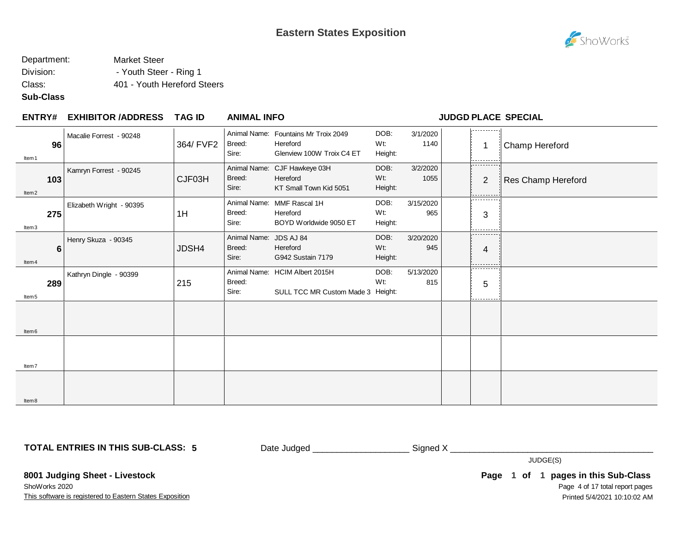

### Department: Market Steer Division: Fig. 2015 - Youth Steer - Ring 1

Class: 401 - Youth Hereford Steers

#### **Sub-Class**

#### **EXHIBITOR /ADDRESS TAG ID ENTRY# ANIMAL INFO JUDGD PLACE SPECIAL**

|                   | 96              | Macalie Forrest - 90248  | 364/ FVF2 | Breed:                          | Animal Name: Fountains Mr Troix 2049<br>Hereford                    | DOB:<br>Wt:            | 3/1/2020<br>1140 | .                                    | Champ Hereford     |
|-------------------|-----------------|--------------------------|-----------|---------------------------------|---------------------------------------------------------------------|------------------------|------------------|--------------------------------------|--------------------|
| Item <sub>1</sub> |                 |                          |           | Sire:                           | Glenview 100W Troix C4 ET                                           | Height:                |                  | - - - - - - - - - -                  |                    |
| Item <sub>2</sub> | 103             | Kamryn Forrest - 90245   | CJF03H    | Breed:<br>Sire:                 | Animal Name: CJF Hawkeye 03H<br>Hereford<br>KT Small Town Kid 5051  | DOB:<br>Wt:<br>Height: | 3/2/2020<br>1055 | .<br>2                               | Res Champ Hereford |
| Item3             | 275             | Elizabeth Wright - 90395 | 1H        | Breed:<br>Sire:                 | Animal Name: MMF Rascal 1H<br>Hereford<br>BOYD Worldwide 9050 ET    | DOB:<br>Wt:<br>Height: | 3/15/2020<br>965 | <br>3<br>--------                    |                    |
| Item <sub>4</sub> | $6\phantom{1}6$ | Henry Skuza - 90345      | JDSH4     | Animal Name:<br>Breed:<br>Sire: | JDS AJ 84<br>Hereford<br>G942 Sustain 7179                          | DOB:<br>Wt:<br>Height: | 3/20/2020<br>945 | 4<br>--------                        |                    |
| Item <sub>5</sub> | 289             | Kathryn Dingle - 90399   | 215       | Breed:<br>Sire:                 | Animal Name: HCIM Albert 2015H<br>SULL TCC MR Custom Made 3 Height: | DOB:<br>Wt:            | 5/13/2020<br>815 | - - - - - - - - - -<br>5<br>-------- |                    |
| Item <sub>6</sub> |                 |                          |           |                                 |                                                                     |                        |                  |                                      |                    |
| Item7             |                 |                          |           |                                 |                                                                     |                        |                  |                                      |                    |
| ltem <sub>8</sub> |                 |                          |           |                                 |                                                                     |                        |                  |                                      |                    |

**TOTAL ENTRIES IN THIS SUB-CLASS: 5**

Date Judged \_\_\_\_\_\_\_\_\_\_\_\_\_\_\_\_\_\_\_\_\_\_\_\_\_\_\_\_\_ Signed X \_\_\_\_\_\_\_\_\_\_\_\_\_\_\_\_\_\_\_\_\_\_\_\_\_\_\_\_\_

JUDGE(S)

This software is registered to Eastern States Exposition **8001 Judging Sheet - Livestock** ShoWorks 2020

Page 4 of 17 total report pages **Page 1 of 1 pages in this Sub-Class** Printed 5/4/2021 10:10:02 AM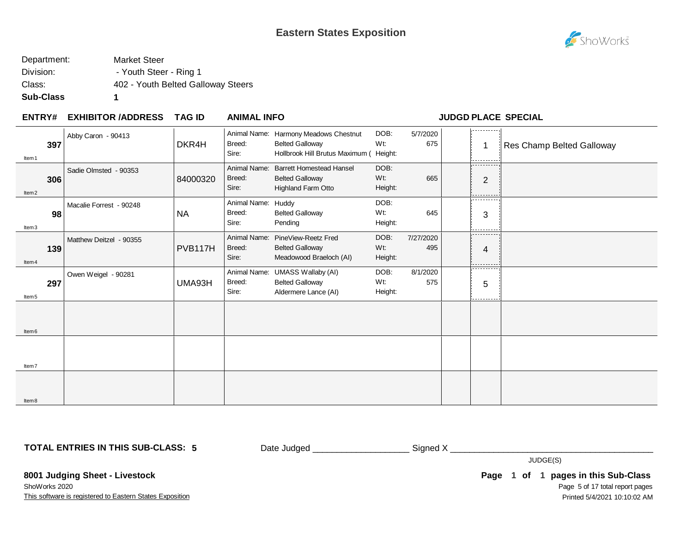

| Department: | <b>Market Steer</b>                |
|-------------|------------------------------------|
| Division:   | - Youth Steer - Ring 1             |
| Class:      | 402 - Youth Belted Galloway Steers |
| Sub-Class   |                                    |

#### **EXHIBITOR /ADDRESS TAG ID ENTRY# ANIMAL INFO JUDGD PLACE SPECIAL**

| Item <sub>1</sub> | 397 | Abby Caron - 90413      | DKR4H     | Breed:<br>Sire:                 | Animal Name: Harmony Meadows Chestnut<br><b>Belted Galloway</b><br>Hollbrook Hill Brutus Maximum ( Height: | DOB:<br>Wt:            | 5/7/2020<br>675  | .<br>.                            | Res Champ Belted Galloway |
|-------------------|-----|-------------------------|-----------|---------------------------------|------------------------------------------------------------------------------------------------------------|------------------------|------------------|-----------------------------------|---------------------------|
| Item <sub>2</sub> | 306 | Sadie Olmsted - 90353   | 84000320  | Animal Name:<br>Breed:<br>Sire: | <b>Barrett Homestead Hansel</b><br><b>Belted Galloway</b><br>Highland Farm Otto                            | DOB:<br>Wt:<br>Height: | 665              | ----------<br>$\overline{2}$<br>. |                           |
| Item3             | 98  | Macalie Forrest - 90248 | <b>NA</b> | Animal Name:<br>Breed:<br>Sire: | Huddy<br><b>Belted Galloway</b><br>Pending                                                                 | DOB:<br>Wt:<br>Height: | 645              | .<br>3<br>.                       |                           |
| Item <sub>4</sub> | 139 | Matthew Deitzel - 90355 | PVB117H   | Animal Name:<br>Breed:<br>Sire: | PineView-Reetz Fred<br><b>Belted Galloway</b><br>Meadowood Braeloch (AI)                                   | DOB:<br>Wt:<br>Height: | 7/27/2020<br>495 | .<br>4<br>---------               |                           |
| Item <sub>5</sub> | 297 | Owen Weigel - 90281     | UMA93H    | Breed:<br>Sire:                 | Animal Name: UMASS Wallaby (AI)<br><b>Belted Galloway</b><br>Aldermere Lance (AI)                          | DOB:<br>Wt:<br>Height: | 8/1/2020<br>575  | .<br>5<br>------                  |                           |
| Item <sub>6</sub> |     |                         |           |                                 |                                                                                                            |                        |                  |                                   |                           |
| Item7             |     |                         |           |                                 |                                                                                                            |                        |                  |                                   |                           |
| Item <sub>8</sub> |     |                         |           |                                 |                                                                                                            |                        |                  |                                   |                           |

**TOTAL ENTRIES IN THIS SUB-CLASS: 5**

Date Judged \_\_\_\_\_\_\_\_\_\_\_\_\_\_\_\_\_\_\_\_\_\_\_\_\_\_ Signed X \_\_\_\_\_\_\_\_\_\_\_\_\_\_\_\_\_\_\_\_\_\_\_\_\_\_\_\_\_\_\_\_\_

JUDGE(S)

This software is registered to Eastern States Exposition **8001 Judging Sheet - Livestock** ShoWorks 2020

Page 5 of 17 total report pages **Page 1 of 1 pages in this Sub-Class** Printed 5/4/2021 10:10:02 AM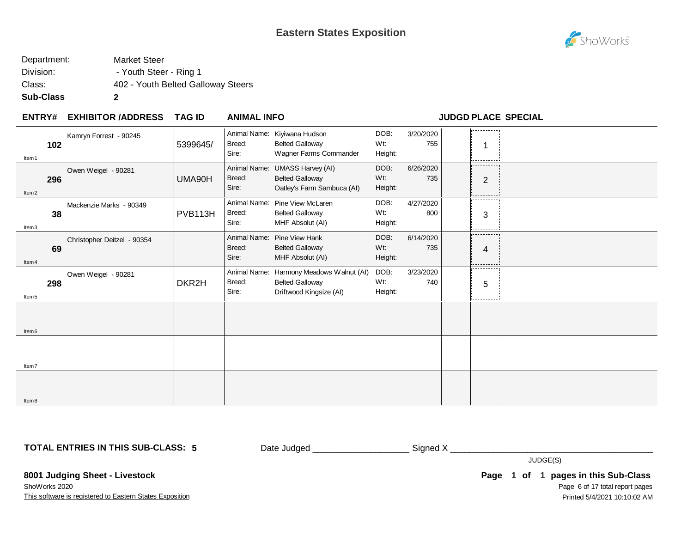### **Eastern States Exposition**



| Sub-Class   | 2                                  |
|-------------|------------------------------------|
| Class:      | 402 - Youth Belted Galloway Steers |
| Division:   | - Youth Steer - Ring 1             |
| Department: | <b>Market Steer</b>                |

#### **EXHIBITOR /ADDRESS TAG ID ENTRY# ANIMAL INFO JUDGD PLACE SPECIAL**

|                   | 102 | Kamryn Forrest - 90245      | 5399645/ | Breed:                          | Animal Name: Kiyiwana Hudson<br><b>Belted Galloway</b>                                 | DOB:<br>Wt:            | 3/20/2020<br>755 | -----------                              |  |
|-------------------|-----|-----------------------------|----------|---------------------------------|----------------------------------------------------------------------------------------|------------------------|------------------|------------------------------------------|--|
| Item 1            |     |                             |          | Sire:                           | Wagner Farms Commander                                                                 | Height:                |                  | ---------                                |  |
| Item <sub>2</sub> | 296 | Owen Weigel - 90281         | UMA90H   | Breed:<br>Sire:                 | Animal Name: UMASS Harvey (AI)<br><b>Belted Galloway</b><br>Oatley's Farm Sambuca (AI) | DOB:<br>Wt:<br>Height: | 6/26/2020<br>735 | ----------<br>$\overline{2}$<br>-------- |  |
| Item3             | 38  | Mackenzie Marks - 90349     | PVB113H  | Breed:<br>Sire:                 | Animal Name: Pine View McLaren<br><b>Belted Galloway</b><br>MHF Absolut (AI)           | DOB:<br>Wt:<br>Height: | 4/27/2020<br>800 | ---------<br>3                           |  |
| Item 4            | 69  | Christopher Deitzel - 90354 |          | Breed:<br>Sire:                 | Animal Name: Pine View Hank<br><b>Belted Galloway</b><br>MHF Absolut (AI)              | DOB:<br>Wt:<br>Height: | 6/14/2020<br>735 | -----------<br>4<br>------               |  |
| Item <sub>5</sub> | 298 | Owen Weigel - 90281         | DKR2H    | Animal Name:<br>Breed:<br>Sire: | Harmony Meadows Walnut (AI)<br><b>Belted Galloway</b><br>Driftwood Kingsize (AI)       | DOB:<br>Wt:<br>Height: | 3/23/2020<br>740 | - - - - - - - - - -<br>5<br>.            |  |
| Item <sub>6</sub> |     |                             |          |                                 |                                                                                        |                        |                  |                                          |  |
| Item7             |     |                             |          |                                 |                                                                                        |                        |                  |                                          |  |
| Item <sub>8</sub> |     |                             |          |                                 |                                                                                        |                        |                  |                                          |  |

**TOTAL ENTRIES IN THIS SUB-CLASS: 5**

Date Judged \_\_\_\_\_\_\_\_\_\_\_\_\_\_\_\_\_\_\_\_\_\_\_\_\_\_\_\_\_ Signed X \_\_\_\_\_\_\_\_\_\_\_\_\_\_\_\_\_\_\_\_\_\_\_\_\_\_\_\_\_

JUDGE(S)

This software is registered to Eastern States Exposition **8001 Judging Sheet - Livestock** ShoWorks 2020

Page 6 of 17 total report pages **Page 1 of 1 pages in this Sub-Class** Printed 5/4/2021 10:10:02 AM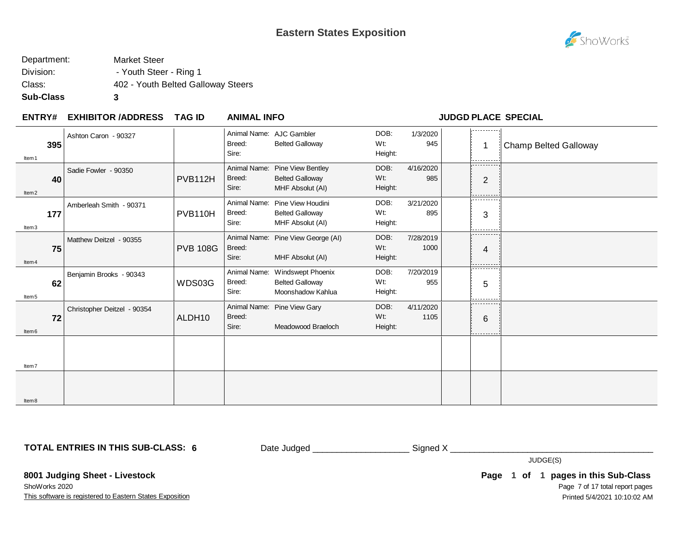

#### Department: Market Steer Division: The Steer - Ring 1 Class: 402 - Youth Belted Galloway Steers **Sub-Class 3**

#### **EXHIBITOR /ADDRESS TAG ID ENTRY# ANIMAL INFO JUDGD PLACE SPECIAL**

| 395<br>Item <sub>1</sub> | Ashton Caron - 90327        |                 | Breed:<br>Sire:                 | Animal Name: AJC Gambler<br><b>Belted Galloway</b>                     | DOB:<br>Wt:<br>Height:    | 1/3/2020<br>945   | -----------<br>-1<br>.       | Champ Belted Galloway |
|--------------------------|-----------------------------|-----------------|---------------------------------|------------------------------------------------------------------------|---------------------------|-------------------|------------------------------|-----------------------|
| 40<br>Item <sub>2</sub>  | Sadie Fowler - 90350        | PVB112H         | Animal Name:<br>Breed:<br>Sire: | <b>Pine View Bentley</b><br><b>Belted Galloway</b><br>MHF Absolut (AI) | DOB:<br>Wt:<br>Height:    | 4/16/2020<br>985  | ----------<br>$\overline{2}$ |                       |
| 177<br>Item3             | Amberleah Smith - 90371     | PVB110H         | Animal Name:<br>Breed:<br>Sire: | Pine View Houdini<br><b>Belted Galloway</b><br>MHF Absolut (AI)        | DOB:<br>Wt.<br>Height:    | 3/21/2020<br>895  | .<br>3                       |                       |
| 75<br>Item <sub>4</sub>  | Matthew Deitzel - 90355     | <b>PVB 108G</b> | Breed:<br>Sire:                 | Animal Name: Pine View George (AI)<br>MHF Absolut (AI)                 | DOB:<br>Wt.<br>Height:    | 7/28/2019<br>1000 | .<br>4                       |                       |
| 62<br>Item <sub>5</sub>  | Benjamin Brooks - 90343     | WDS03G          | Animal Name:<br>Breed:<br>Sire: | Windswept Phoenix<br><b>Belted Galloway</b><br>Moonshadow Kahlua       | DOB:<br>$Wt$ :<br>Height: | 7/20/2019<br>955  | .<br>5                       |                       |
| 72<br>Item <sub>6</sub>  | Christopher Deitzel - 90354 | ALDH10          | Breed:<br>Sire:                 | Animal Name: Pine View Gary<br>Meadowood Braeloch                      | DOB:<br>Wt.<br>Height:    | 4/11/2020<br>1105 | .<br>6                       |                       |
| Item7                    |                             |                 |                                 |                                                                        |                           |                   |                              |                       |
| ltem <sub>8</sub>        |                             |                 |                                 |                                                                        |                           |                   |                              |                       |

**TOTAL ENTRIES IN THIS SUB-CLASS: 6**

Date Judged \_\_\_\_\_\_\_\_\_\_\_\_\_\_\_\_\_\_\_\_\_\_\_\_\_\_\_ Signed X \_\_\_\_\_\_\_\_\_\_\_\_\_\_\_\_\_\_\_\_\_\_\_\_\_\_\_\_\_\_\_

JUDGE(S)

This software is registered to Eastern States Exposition **8001 Judging Sheet - Livestock** ShoWorks 2020

Page 7 of 17 total report pages **Page 1 of 1 pages in this Sub-Class** Printed 5/4/2021 10:10:02 AM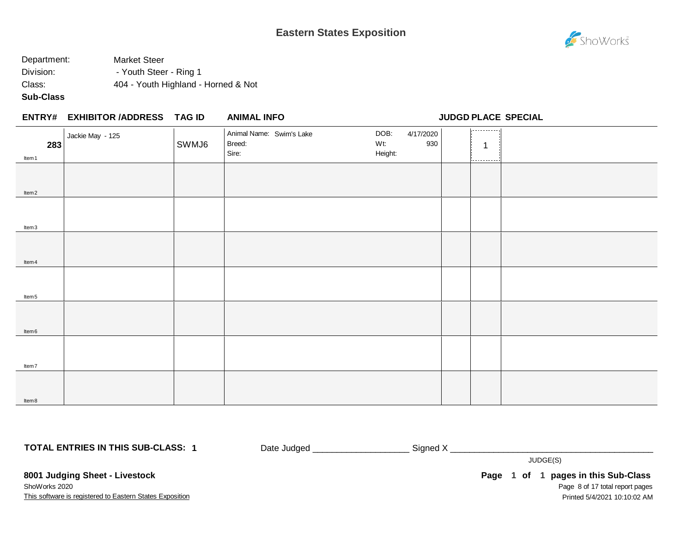### **Eastern States Exposition**



### Department: Market Steer Division: The Steer - Ring 1 Class: 404 - Youth Highland - Horned & Not

#### **Sub-Class**

| <b>ANIMAL INFO</b> |
|--------------------|
|                    |

**ENTRY# ANIMAL INFO JUDGD PLACE SPECIAL**

| 283               | Jackie May - 125 | SWMJ6 | Animal Name: Swim's Lake<br>Breed:<br>Sire: | DOB:<br>Wt:<br>Height: | 4/17/2020<br>930 | 1, 1<br>$\mathbf 1$ |  |
|-------------------|------------------|-------|---------------------------------------------|------------------------|------------------|---------------------|--|
| Item 1            |                  |       |                                             |                        |                  | -----------         |  |
|                   |                  |       |                                             |                        |                  |                     |  |
| ltem <sub>2</sub> |                  |       |                                             |                        |                  |                     |  |
|                   |                  |       |                                             |                        |                  |                     |  |
| Item3             |                  |       |                                             |                        |                  |                     |  |
|                   |                  |       |                                             |                        |                  |                     |  |
| ltem 4            |                  |       |                                             |                        |                  |                     |  |
| Item <sub>5</sub> |                  |       |                                             |                        |                  |                     |  |
| Item 6            |                  |       |                                             |                        |                  |                     |  |
| ltem7             |                  |       |                                             |                        |                  |                     |  |
| ltem 8            |                  |       |                                             |                        |                  |                     |  |

**TOTAL ENTRIES IN THIS SUB-CLASS: 1**

Date Judged \_\_\_\_\_\_\_\_\_\_\_\_\_\_\_\_\_\_\_\_\_\_\_\_\_\_\_ Signed X \_\_\_\_\_\_\_\_\_\_\_\_\_\_\_\_\_\_\_\_\_\_\_\_\_\_\_\_\_\_\_

JUDGE(S)

This software is registered to Eastern States Exposition **8001 Judging Sheet - Livestock** ShoWorks 2020

Page 8 of 17 total report pages **Page 1 of 1 pages in this Sub-Class** Printed 5/4/2021 10:10:02 AM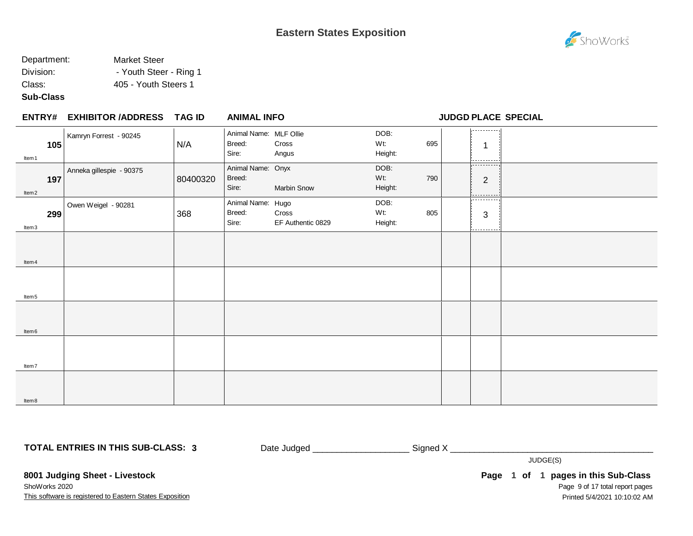### Department: Market Steer Division: Fig. 2015 - Youth Steer - Ring 1

Class: 405 - Youth Steers 1

#### **Sub-Class**

|                          | <b>ENTRY# EXHIBITOR /ADDRESS</b> | TAG ID   | <b>ANIMAL INFO</b>                        |                            |                        |     |                               | <b>JUDGD PLACE SPECIAL</b> |
|--------------------------|----------------------------------|----------|-------------------------------------------|----------------------------|------------------------|-----|-------------------------------|----------------------------|
| 105<br>Item 1            | Kamryn Forrest - 90245           | N/A      | Animal Name: MLF Ollie<br>Breed:<br>Sire: | Cross<br>Angus             | DOB:<br>Wt:<br>Height: | 695 | .<br>-1<br>---------          |                            |
| 197<br>Item <sub>2</sub> | Anneka gillespie - 90375         | 80400320 | Animal Name: Onyx<br>Breed:<br>Sire:      | Marbin Snow                | DOB:<br>Wt:<br>Height: | 790 | -----------<br>$\overline{2}$ |                            |
| 299<br>Item3             | Owen Weigel - 90281              | 368      | Animal Name: Hugo<br>Breed:<br>Sire:      | Cross<br>EF Authentic 0829 | DOB:<br>Wt:<br>Height: | 805 | .<br>3<br>-------             |                            |
| Item 4                   |                                  |          |                                           |                            |                        |     |                               |                            |
| Item 5                   |                                  |          |                                           |                            |                        |     |                               |                            |
| Item <sub>6</sub>        |                                  |          |                                           |                            |                        |     |                               |                            |
| ltem7                    |                                  |          |                                           |                            |                        |     |                               |                            |
| ltem 8                   |                                  |          |                                           |                            |                        |     |                               |                            |

**TOTAL ENTRIES IN THIS SUB-CLASS: 3**

Date Judged \_\_\_\_\_\_\_\_\_\_\_\_\_\_\_\_\_\_\_\_\_\_\_\_\_\_\_ Signed X \_\_\_\_\_\_\_\_\_\_\_\_\_\_\_\_\_\_\_\_\_\_\_\_\_\_\_\_\_\_\_

JUDGE(S)

This software is registered to Eastern States Exposition **8001 Judging Sheet - Livestock** ShoWorks 2020

Page 9 of 17 total report pages **Page 1 of 1 pages in this Sub-Class** Printed 5/4/2021 10:10:02 AM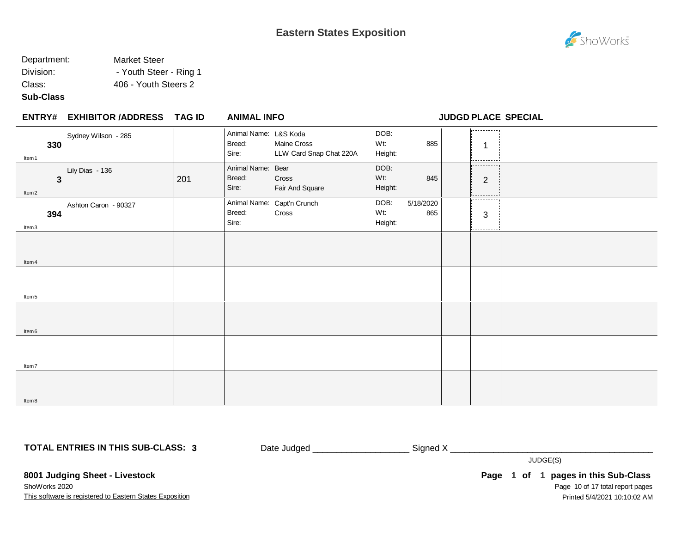### Department: Market Steer Division: Fig. 2015 - Youth Steer - Ring 1

Class: 406 - Youth Steers 2

#### **Sub-Class**

|                        | <b>ENTRY# EXHIBITOR /ADDRESS</b> | TAG ID | <b>ANIMAL INFO</b>                       |                                        |                        |                  |                        | <b>JUDGD PLACE SPECIAL</b> |
|------------------------|----------------------------------|--------|------------------------------------------|----------------------------------------|------------------------|------------------|------------------------|----------------------------|
| 330<br>Item 1          | Sydney Wilson - 285              |        | Animal Name: L&S Koda<br>Breed:<br>Sire: | Maine Cross<br>LLW Card Snap Chat 220A | DOB:<br>Wt:<br>Height: | 885              | .<br>-1<br>.           |                            |
| 3<br>Item <sub>2</sub> | Lily Dias - 136                  | 201    | Animal Name: Bear<br>Breed:<br>Sire:     | Cross<br>Fair And Square               | DOB:<br>Wt:<br>Height: | 845              | <br>$\mathbf{2}$       |                            |
| 394<br>Item3           | Ashton Caron - 90327             |        | Breed:<br>Sire:                          | Animal Name: Capt'n Crunch<br>Cross    | DOB:<br>Wt:<br>Height: | 5/18/2020<br>865 | .<br>$\mathbf{3}$<br>. |                            |
| Item 4                 |                                  |        |                                          |                                        |                        |                  |                        |                            |
| ltem 5                 |                                  |        |                                          |                                        |                        |                  |                        |                            |
| Item <sub>6</sub>      |                                  |        |                                          |                                        |                        |                  |                        |                            |
| Item7                  |                                  |        |                                          |                                        |                        |                  |                        |                            |
| ltem 8                 |                                  |        |                                          |                                        |                        |                  |                        |                            |

**TOTAL ENTRIES IN THIS SUB-CLASS: 3**

Date Judged \_\_\_\_\_\_\_\_\_\_\_\_\_\_\_\_\_\_\_\_\_\_\_\_\_\_\_\_ Signed X \_\_\_\_\_\_\_\_\_\_\_\_\_\_\_\_\_\_\_\_\_\_\_\_\_\_\_\_\_\_

JUDGE(S)

**8001 Judging Sheet - Livestock** ShoWorks 2020

This software is registered to Eastern States Exposition

Page 10 of 17 total report pages **Page 1 of 1 pages in this Sub-Class** Printed 5/4/2021 10:10:02 AM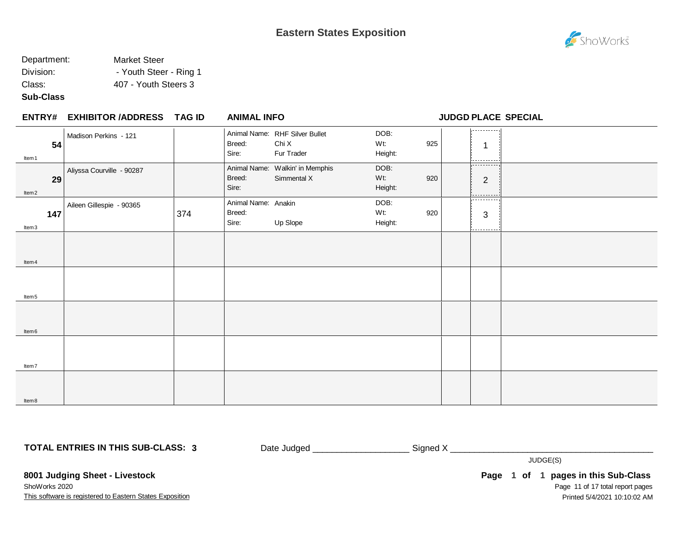#### Department: Market Steer Division: Fig. 2015 - Youth Steer - Ring 1 Class: 407 - Youth Steers 3

#### **Sub-Class**

|                         | ENTRY# EXHIBITOR /ADDRESS TAG ID |     | <b>ANIMAL INFO</b>                     |                                                       |                        |     |                                                   | <b>JUDGD PLACE SPECIAL</b> |
|-------------------------|----------------------------------|-----|----------------------------------------|-------------------------------------------------------|------------------------|-----|---------------------------------------------------|----------------------------|
| 54<br>Item 1            | Madison Perkins - 121            |     | Breed:<br>Sire:                        | Animal Name: RHF Silver Bullet<br>Chi X<br>Fur Trader | DOB:<br>Wt:<br>Height: | 925 | .<br>1<br>.                                       |                            |
| 29<br>ltem <sub>2</sub> | Aliyssa Courville - 90287        |     | Breed:<br>Sire:                        | Animal Name: Walkin' in Memphis<br>Simmental X        | DOB:<br>Wt:<br>Height: | 920 | -----------<br>$\overline{2}$                     |                            |
| 147<br>Item3            | Aileen Gillespie - 90365         | 374 | Animal Name: Anakin<br>Breed:<br>Sire: | Up Slope                                              | DOB:<br>Wt:<br>Height: | 920 | ----------<br>$\mathbf{3}$<br>- - - - - - - - - - |                            |
| Item 4                  |                                  |     |                                        |                                                       |                        |     |                                                   |                            |
| Item <sub>5</sub>       |                                  |     |                                        |                                                       |                        |     |                                                   |                            |
| Item <sub>6</sub>       |                                  |     |                                        |                                                       |                        |     |                                                   |                            |
| Item7                   |                                  |     |                                        |                                                       |                        |     |                                                   |                            |
| ltem 8                  |                                  |     |                                        |                                                       |                        |     |                                                   |                            |

**TOTAL ENTRIES IN THIS SUB-CLASS: 3**

Date Judged \_\_\_\_\_\_\_\_\_\_\_\_\_\_\_\_\_\_\_\_\_\_\_\_\_\_\_\_ Signed X \_\_\_\_\_\_\_\_\_\_\_\_\_\_\_\_\_\_\_\_\_\_\_\_\_\_\_\_\_\_

JUDGE(S)

**8001 Judging Sheet - Livestock** ShoWorks 2020

This software is registered to Eastern States Exposition

Page 11 of 17 total report pages **Page 1 of 1 pages in this Sub-Class** Printed 5/4/2021 10:10:02 AM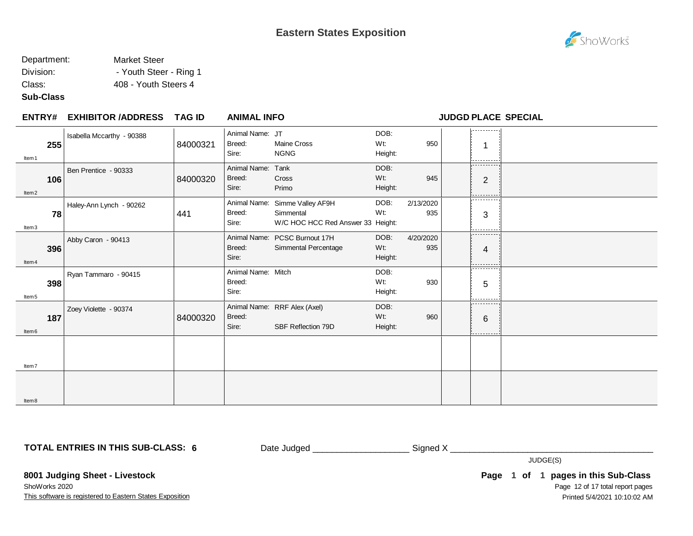### Department: Market Steer Division: Fig. 2015 - Youth Steer - Ring 1

Class: 408 - Youth Steers 4

**Sub-Class**

Item8

| ENTRY#                   | <b>EXHIBITOR /ADDRESS</b> | <b>TAG ID</b> | <b>ANIMAL INFO</b>                    |                                                                                  |                        |                  | JUDGD PLACE SPECIAL        |  |
|--------------------------|---------------------------|---------------|---------------------------------------|----------------------------------------------------------------------------------|------------------------|------------------|----------------------------|--|
| 255<br>Item <sub>1</sub> | Isabella Mccarthy - 90388 | 84000321      | Animal Name: JT<br>Breed:<br>Sire:    | Maine Cross<br><b>NGNG</b>                                                       | DOB:<br>Wt:<br>Height: | 950              | -----------<br>---------   |  |
| 106<br>ltem <sub>2</sub> | Ben Prentice - 90333      | 84000320      | Animal Name:<br>Breed:<br>Sire:       | Tank<br>Cross<br>Primo                                                           | DOB:<br>Wt:<br>Height: | 945              | --------<br>$\overline{2}$ |  |
| 78<br>Item <sub>3</sub>  | Haley-Ann Lynch - 90262   | 441           | Breed:<br>Sire:                       | Animal Name: Simme Valley AF9H<br>Simmental<br>W/C HOC HCC Red Answer 33 Height: | DOB:<br>Wt:            | 2/13/2020<br>935 | ---------<br>3             |  |
| 396<br>Item <sub>4</sub> | Abby Caron - 90413        |               | Breed:<br>Sire:                       | Animal Name: PCSC Burnout 17H<br>Simmental Percentage                            | DOB:<br>Wt:<br>Height: | 4/20/2020<br>935 | .<br>4<br>.                |  |
| 398<br>Item 5            | Ryan Tammaro - 90415      |               | Animal Name: Mitch<br>Breed:<br>Sire: |                                                                                  | DOB:<br>Wt:<br>Height: | 930              | --------<br>5              |  |
| 187<br>Item 6            | Zoey Violette - 90374     | 84000320      | Breed:<br>Sire:                       | Animal Name: RRF Alex (Axel)<br>SBF Reflection 79D                               | DOB:<br>Wt:<br>Height: | 960              | --------<br>6              |  |
| ltem <sub>7</sub>        |                           |               |                                       |                                                                                  |                        |                  |                            |  |
|                          |                           |               |                                       |                                                                                  |                        |                  |                            |  |

**TOTAL ENTRIES IN THIS SUB-CLASS: 6**

Date Judged \_\_\_\_\_\_\_\_\_\_\_\_\_\_\_\_\_\_\_\_ Signed X \_\_\_\_\_\_\_\_\_\_\_\_\_\_\_\_\_\_\_\_\_\_\_\_\_\_\_\_\_\_\_\_\_\_\_\_\_\_\_\_\_\_

JUDGE(S)

**8001 Judging Sheet - Livestock** ShoWorks 2020

This software is registered to Eastern States Exposition

Page 12 of 17 total report pages **Page 1 of 1 pages in this Sub-Class** Printed 5/4/2021 10:10:02 AM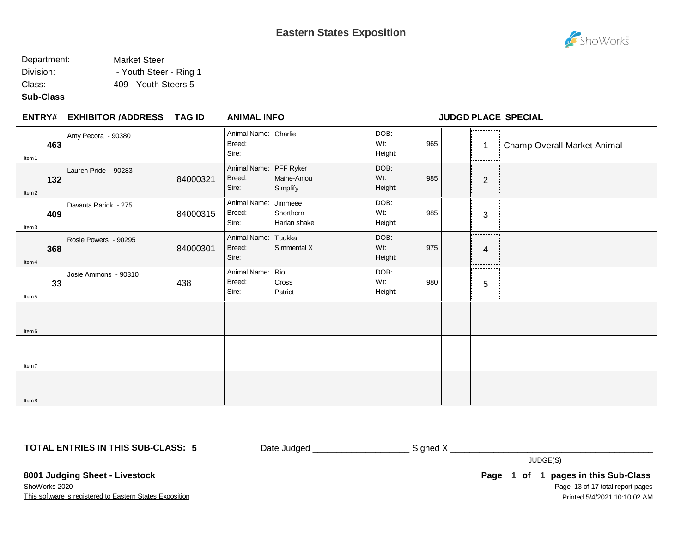### Department: Market Steer Division: The Steer - Ring 1

Class: 409 - Youth Steers 5

#### **Sub-Class**

| <b>ENTRY#</b>            | <b>EXHIBITOR /ADDRESS</b> | <b>TAG ID</b> | <b>ANIMAL INFO</b>                        |                           |                        |     |                                          | <b>JUDGD PLACE SPECIAL</b>         |
|--------------------------|---------------------------|---------------|-------------------------------------------|---------------------------|------------------------|-----|------------------------------------------|------------------------------------|
| 463<br>Item 1            | Amy Pecora - 90380        |               | Animal Name: Charlie<br>Breed:<br>Sire:   |                           | DOB:<br>Wt:<br>Height: | 965 | ----------<br>$\overline{1}$<br>-------- | <b>Champ Overall Market Animal</b> |
| 132<br>Item <sub>2</sub> | Lauren Pride - 90283      | 84000321      | Animal Name: PFF Ryker<br>Breed:<br>Sire: | Maine-Anjou<br>Simplify   | DOB:<br>Wt:<br>Height: | 985 | ----------<br>$\overline{2}$             |                                    |
| 409<br>Item3             | Davanta Rarick - 275      | 84000315      | Animal Name: Jimmeee<br>Breed:<br>Sire:   | Shorthorn<br>Harlan shake | DOB:<br>Wt:<br>Height: | 985 | .<br>3                                   |                                    |
| 368<br>Item <sub>4</sub> | Rosie Powers - 90295      | 84000301      | Animal Name: Tuukka<br>Breed:<br>Sire:    | Simmental X               | DOB:<br>Wt:<br>Height: | 975 | .<br>4                                   |                                    |
| 33<br>Item <sub>5</sub>  | Josie Ammons - 90310      | 438           | Animal Name: Rio<br>Breed:<br>Sire:       | Cross<br>Patriot          | DOB:<br>Wt:<br>Height: | 980 | .<br>5<br>--------                       |                                    |
| Item <sub>6</sub>        |                           |               |                                           |                           |                        |     |                                          |                                    |
| Item7                    |                           |               |                                           |                           |                        |     |                                          |                                    |
| Item <sub>8</sub>        |                           |               |                                           |                           |                        |     |                                          |                                    |

**TOTAL ENTRIES IN THIS SUB-CLASS: 5**

Date Judged \_\_\_\_\_\_\_\_\_\_\_\_\_\_\_\_\_\_\_\_\_\_\_\_\_\_\_\_ Signed X \_\_\_\_\_\_\_\_\_\_\_\_\_\_\_\_\_\_\_\_\_\_\_\_\_\_\_\_\_\_

JUDGE(S)

**8001 Judging Sheet - Livestock** ShoWorks 2020

This software is registered to Eastern States Exposition

Page 13 of 17 total report pages **Page 1 of 1 pages in this Sub-Class** Printed 5/4/2021 10:10:02 AM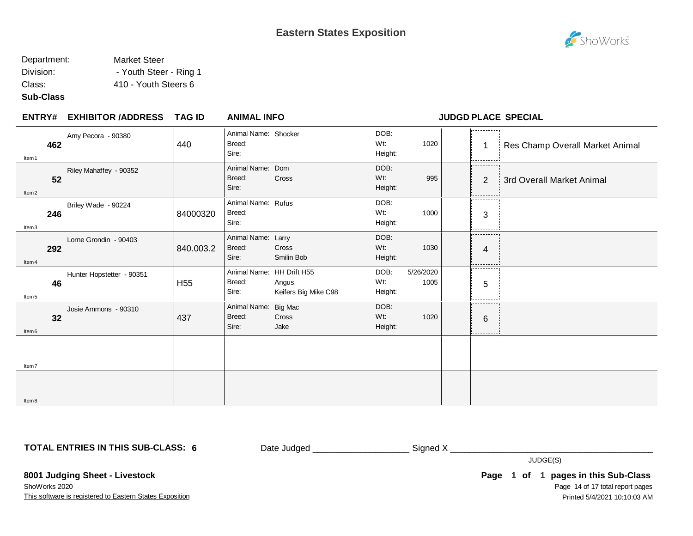### Department: Market Steer Division: The Steer - Ring 1

Class: 410 - Youth Steers 6

#### **Sub-Class**

| <b>ENTRY#</b>            | <b>EXHIBITOR /ADDRESS</b> | <b>TAG ID</b>   | <b>ANIMAL INFO</b>                           |                               |                        |                   |                              | <b>JUDGD PLACE SPECIAL</b>      |
|--------------------------|---------------------------|-----------------|----------------------------------------------|-------------------------------|------------------------|-------------------|------------------------------|---------------------------------|
| 462<br>Item 1            | Amy Pecora - 90380        | 440             | Animal Name: Shocker<br>Breed:<br>Sire:      |                               | DOB:<br>Wt:<br>Height: | 1020              | ----------<br>1<br>--------  | Res Champ Overall Market Animal |
| 52<br>Item <sub>2</sub>  | Riley Mahaffey - 90352    |                 | Animal Name: Dom<br>Breed:<br>Sire:          | Cross                         | DOB:<br>Wt:<br>Height: | 995               | ----------<br>$\overline{2}$ | 3rd Overall Market Animal       |
| 246<br>Item3             | Briley Wade - 90224       | 84000320        | Animal Name: Rufus<br>Breed:<br>Sire:        |                               | DOB:<br>Wt:<br>Height: | 1000              | .<br>3                       |                                 |
| 292<br>Item <sub>4</sub> | Lorne Grondin - 90403     | 840.003.2       | Animal Name: Larry<br>Breed:<br>Sire:        | <b>Cross</b><br>Smilin Bob    | DOB:<br>Wt:<br>Height: | 1030              | . <u>.</u><br>4              |                                 |
| 46<br>Item <sub>5</sub>  | Hunter Hopstetter - 90351 | H <sub>55</sub> | Animal Name: HH Drift H55<br>Breed:<br>Sire: | Angus<br>Keifers Big Mike C98 | DOB:<br>Wt:<br>Height: | 5/26/2020<br>1005 | .<br>5<br>.                  |                                 |
| 32<br>Item <sub>6</sub>  | Josie Ammons - 90310      | 437             | Animal Name: Big Mac<br>Breed:<br>Sire:      | Cross<br>Jake                 | DOB:<br>Wt:<br>Height: | 1020              | 6<br>- - - - - - - - -       |                                 |
| Item7                    |                           |                 |                                              |                               |                        |                   |                              |                                 |
| Item <sub>8</sub>        |                           |                 |                                              |                               |                        |                   |                              |                                 |

**TOTAL ENTRIES IN THIS SUB-CLASS: 6**

Date Judged \_\_\_\_\_\_\_\_\_\_\_\_\_\_\_\_\_\_\_\_\_\_\_\_\_\_\_ Signed X \_\_\_\_\_\_\_\_\_\_\_\_\_\_\_\_\_\_\_\_\_\_\_\_\_\_\_\_\_\_\_

JUDGE(S)

**8001 Judging Sheet - Livestock** ShoWorks 2020

This software is registered to Eastern States Exposition

Page 14 of 17 total report pages **Page 1 of 1 pages in this Sub-Class** Printed 5/4/2021 10:10:03 AM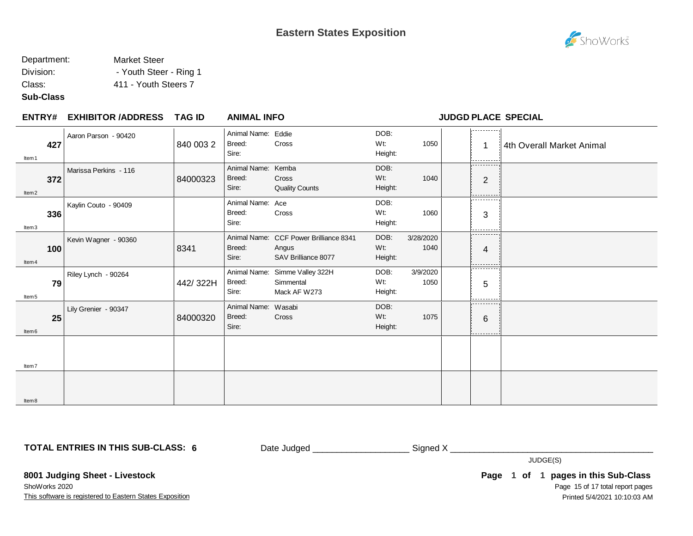### Department: Market Steer

Division: Fig. 2015 - Youth Steer - Ring 1

Class: 411 - Youth Steers 7

#### **Sub-Class**

Item7

Item8

| <b>ENTRY#</b>            | EXHIBITOR /ADDRESS TAG ID |           | <b>ANIMAL INFO</b>                     |                                                                        |                        |                   |                              | <b>JUDGD PLACE SPECIAL</b> |
|--------------------------|---------------------------|-----------|----------------------------------------|------------------------------------------------------------------------|------------------------|-------------------|------------------------------|----------------------------|
| 427<br>Item 1            | Aaron Parson - 90420      | 840 003 2 | Animal Name: Eddie<br>Breed:<br>Sire:  | Cross                                                                  | DOB:<br>Wt:<br>Height: | 1050              | ----------<br>-1             | 4th Overall Market Animal  |
| 372<br>Item <sub>2</sub> | Marissa Perkins - 116     | 84000323  | Animal Name:<br>Breed:<br>Sire:        | Kemba<br>Cross<br><b>Quality Counts</b>                                | DOB:<br>Wt:<br>Height: | 1040              | ----------<br>$\overline{2}$ |                            |
| 336<br>Item <sub>3</sub> | Kaylin Couto - 90409      |           | Animal Name: Ace<br>Breed:<br>Sire:    | Cross                                                                  | DOB:<br>Wt:<br>Height: | 1060              | .<br>3                       |                            |
| 100<br>Item 4            | Kevin Wagner - 90360      | 8341      | Breed:<br>Sire:                        | Animal Name: CCF Power Brilliance 8341<br>Angus<br>SAV Brilliance 8077 | DOB:<br>Wt:<br>Height: | 3/28/2020<br>1040 | .<br>$\overline{4}$          |                            |
| 79<br>Item 5             | Riley Lynch - 90264       | 442/322H  | Breed:<br>Sire:                        | Animal Name: Simme Valley 322H<br>Simmental<br>Mack AF W273            | DOB:<br>Wt:<br>Height: | 3/9/2020<br>1050  | ----------<br>5              |                            |
| 25<br>ltem <sub>6</sub>  | Lily Grenier - 90347      | 84000320  | Animal Name: Wasabi<br>Breed:<br>Sire: | Cross                                                                  | DOB:<br>Wt:<br>Height: | 1075              | .<br>6                       |                            |
|                          |                           |           |                                        |                                                                        |                        |                   |                              |                            |

**TOTAL ENTRIES IN THIS SUB-CLASS: 6**

Date Judged \_\_\_\_\_\_\_\_\_\_\_\_\_\_\_\_\_\_\_\_ Signed X \_\_\_\_\_\_\_\_\_\_\_\_\_\_\_\_\_\_\_\_\_\_\_\_\_\_\_\_\_\_\_\_\_\_\_\_\_\_\_\_\_\_

JUDGE(S)

**8001 Judging Sheet - Livestock** ShoWorks 2020

This software is registered to Eastern States Exposition

Page 15 of 17 total report pages **Page 1 of 1 pages in this Sub-Class** Printed 5/4/2021 10:10:03 AM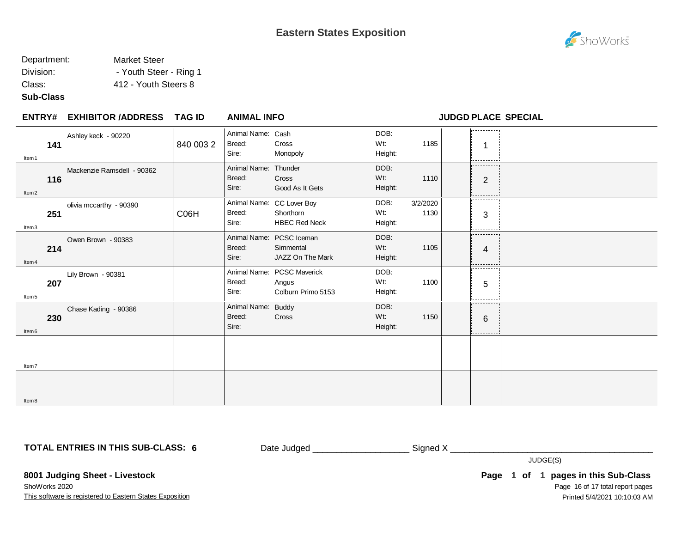## Department: Market Steer

Division: The Steer - Ring 1

Class: 412 - Youth Steers 8

#### **Sub-Class**

| <b>ENTRY#</b>            | <b>EXHIBITOR /ADDRESS</b>  | <b>TAG ID</b> | <b>ANIMAL INFO</b>                      |                                                                |                           |                  |                      | <b>JUDGD PLACE SPECIAL</b> |
|--------------------------|----------------------------|---------------|-----------------------------------------|----------------------------------------------------------------|---------------------------|------------------|----------------------|----------------------------|
| 141<br>Item 1            | Ashley keck - 90220        | 840 003 2     | Animal Name: Cash<br>Breed:<br>Sire:    | Cross<br>Monopoly                                              | DOB:<br>$Wt$ :<br>Height: | 1185             | .<br>---------       |                            |
| 116<br>ltem <sub>2</sub> | Mackenzie Ramsdell - 90362 |               | Animal Name: Thunder<br>Breed:<br>Sire: | Cross<br>Good As It Gets                                       | DOB:<br>$Wt$ :<br>Height: | 1110             | .<br>$\overline{2}$  |                            |
| 251<br>Item3             | olivia mccarthy - 90390    | C06H          | Breed:<br>Sire:                         | Animal Name: CC Lover Boy<br>Shorthorn<br><b>HBEC Red Neck</b> | DOB:<br>Wt:<br>Height:    | 3/2/2020<br>1130 | .<br>3<br>--------   |                            |
| 214<br>Item <sub>4</sub> | Owen Brown - 90383         |               | Breed:<br>Sire:                         | Animal Name: PCSC Iceman<br>Simmental<br>JAZZ On The Mark      | DOB:<br>Wt:<br>Height:    | 1105             | .<br>4<br>. <u>.</u> |                            |
| 207<br>Item <sub>5</sub> | Lily Brown - 90381         |               | Breed:<br>Sire:                         | Animal Name: PCSC Maverick<br>Angus<br>Colburn Primo 5153      | DOB:<br>Wt:<br>Height:    | 1100             | .<br>5<br>--------   |                            |
| 230<br>ltem 6            | Chase Kading - 90386       |               | Animal Name: Buddy<br>Breed:<br>Sire:   | Cross                                                          | DOB:<br>Wt:<br>Height:    | 1150             | .<br>6<br>---------- |                            |
| Item7                    |                            |               |                                         |                                                                |                           |                  |                      |                            |
| ltem 8                   |                            |               |                                         |                                                                |                           |                  |                      |                            |

**TOTAL ENTRIES IN THIS SUB-CLASS: 6**

Date Judged \_\_\_\_\_\_\_\_\_\_\_\_\_\_\_\_\_\_\_\_\_\_\_\_\_\_\_\_\_Signed X \_\_\_\_\_\_\_\_\_\_\_\_\_\_\_\_\_\_\_\_\_\_\_\_\_\_\_\_\_\_

JUDGE(S)

**8001 Judging Sheet - Livestock** ShoWorks 2020

This software is registered to Eastern States Exposition

Page 16 of 17 total report pages **Page 1 of 1 pages in this Sub-Class** Printed 5/4/2021 10:10:03 AM